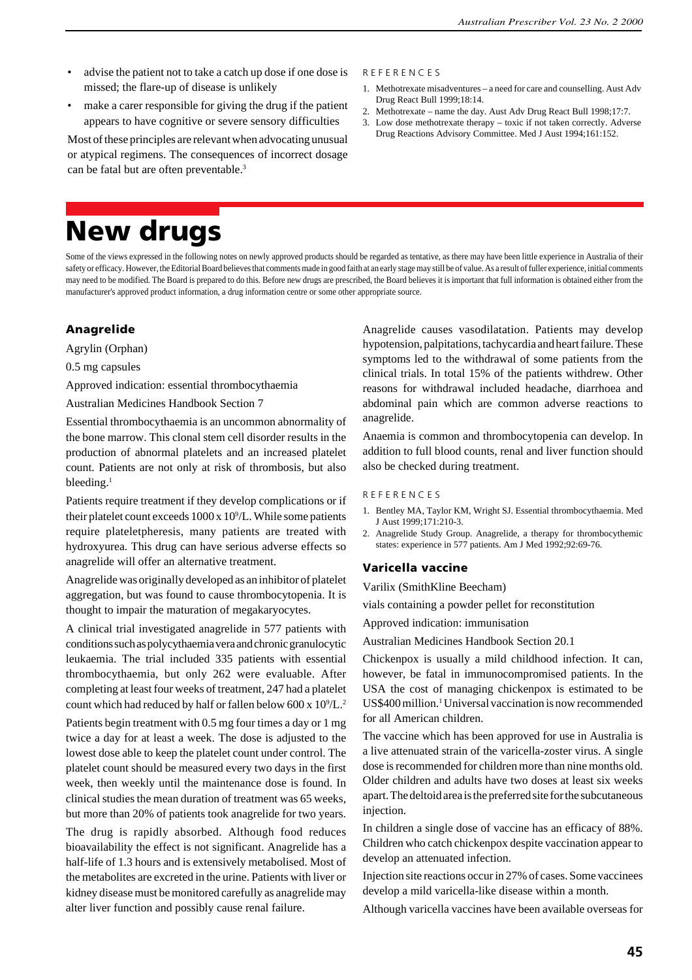- advise the patient not to take a catch up dose if one dose is missed; the flare-up of disease is unlikely
- make a carer responsible for giving the drug if the patient appears to have cognitive or severe sensory difficulties

Most of these principles are relevant when advocating unusual or atypical regimens. The consequences of incorrect dosage can be fatal but are often preventable.<sup>3</sup>

#### R E F E R E N C E S

- 1. Methotrexate misadventures a need for care and counselling. Aust Adv Drug React Bull 1999;18:14.
- 2. Methotrexate name the day. Aust Adv Drug React Bull 1998;17:7.
- 3. Low dose methotrexate therapy toxic if not taken correctly. Adverse Drug Reactions Advisory Committee. Med J Aust 1994;161:152.

# **New drugs**

Some of the views expressed in the following notes on newly approved products should be regarded as tentative, as there may have been little experience in Australia of their safety or efficacy. However, the Editorial Board believes that comments made in good faith at an early stage may still be of value. As a result of fuller experience, initial comments may need to be modified. The Board is prepared to do this. Before new drugs are prescribed, the Board believes it is important that full information is obtained either from the manufacturer's approved product information, a drug information centre or some other appropriate source.

## **Anagrelide**

Agrylin (Orphan)

0.5 mg capsules

Approved indication: essential thrombocythaemia

Australian Medicines Handbook Section 7

Essential thrombocythaemia is an uncommon abnormality of the bone marrow. This clonal stem cell disorder results in the production of abnormal platelets and an increased platelet count. Patients are not only at risk of thrombosis, but also bleeding. $<sup>1</sup>$ </sup>

Patients require treatment if they develop complications or if their platelet count exceeds  $1000 \times 10^9$ /L. While some patients require plateletpheresis, many patients are treated with hydroxyurea. This drug can have serious adverse effects so anagrelide will offer an alternative treatment.

Anagrelide was originally developed as an inhibitor of platelet aggregation, but was found to cause thrombocytopenia. It is thought to impair the maturation of megakaryocytes.

A clinical trial investigated anagrelide in 577 patients with conditions such as polycythaemia vera and chronic granulocytic leukaemia. The trial included 335 patients with essential thrombocythaemia, but only 262 were evaluable. After completing at least four weeks of treatment, 247 had a platelet count which had reduced by half or fallen below 600 x  $10^9$ /L.<sup>2</sup>

Patients begin treatment with 0.5 mg four times a day or 1 mg twice a day for at least a week. The dose is adjusted to the lowest dose able to keep the platelet count under control. The platelet count should be measured every two days in the first week, then weekly until the maintenance dose is found. In clinical studies the mean duration of treatment was 65 weeks, but more than 20% of patients took anagrelide for two years.

The drug is rapidly absorbed. Although food reduces bioavailability the effect is not significant. Anagrelide has a half-life of 1.3 hours and is extensively metabolised. Most of the metabolites are excreted in the urine. Patients with liver or kidney disease must be monitored carefully as anagrelide may alter liver function and possibly cause renal failure.

Anagrelide causes vasodilatation. Patients may develop hypotension, palpitations, tachycardia and heart failure. These symptoms led to the withdrawal of some patients from the clinical trials. In total 15% of the patients withdrew. Other reasons for withdrawal included headache, diarrhoea and abdominal pain which are common adverse reactions to anagrelide.

Anaemia is common and thrombocytopenia can develop. In addition to full blood counts, renal and liver function should also be checked during treatment.

#### R E F E R E N C E S

- 1. Bentley MA, Taylor KM, Wright SJ. Essential thrombocythaemia. Med J Aust 1999;171:210-3.
- 2. Anagrelide Study Group. Anagrelide, a therapy for thrombocythemic states: experience in 577 patients. Am J Med 1992;92:69-76.

## **Varicella vaccine**

Varilix (SmithKline Beecham)

vials containing a powder pellet for reconstitution

Approved indication: immunisation

Australian Medicines Handbook Section 20.1

Chickenpox is usually a mild childhood infection. It can, however, be fatal in immunocompromised patients. In the USA the cost of managing chickenpox is estimated to be US\$400 million.<sup>1</sup> Universal vaccination is now recommended for all American children.

The vaccine which has been approved for use in Australia is a live attenuated strain of the varicella-zoster virus. A single dose is recommended for children more than nine months old. Older children and adults have two doses at least six weeks apart. The deltoid area is the preferred site for the subcutaneous injection.

In children a single dose of vaccine has an efficacy of 88%. Children who catch chickenpox despite vaccination appear to develop an attenuated infection.

Injection site reactions occur in 27% of cases. Some vaccinees develop a mild varicella-like disease within a month.

Although varicella vaccines have been available overseas for